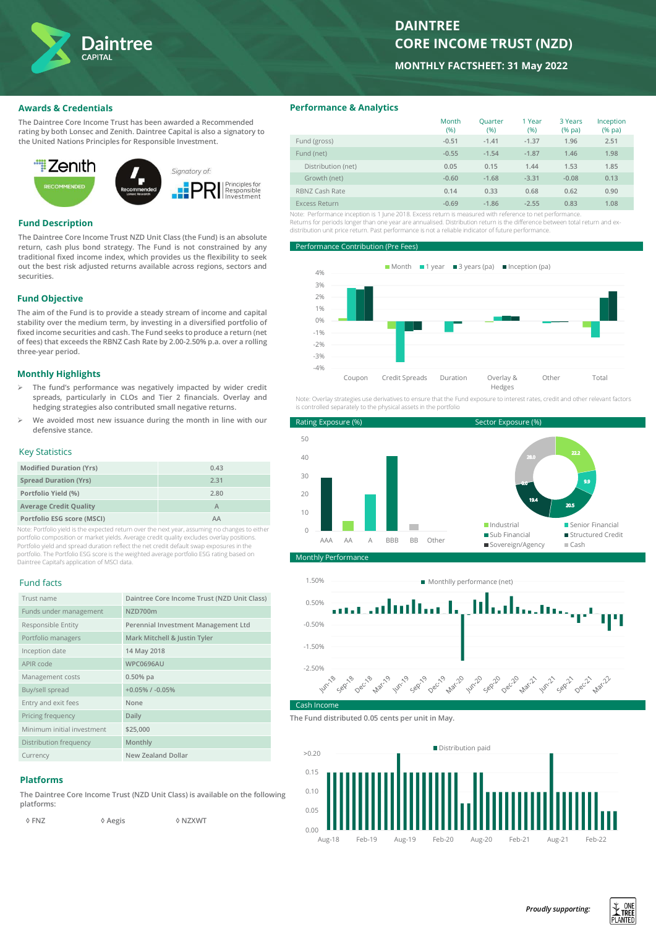

# **DAINTREE CORE INCOME TRUST (NZD)**

**MONTHLY FACTSHEET: 31 May 2022**

# **Awards & Credentials**

**The Daintree Core Income Trust has been awarded a Recommended rating by both Lonsec and Zenith. Daintree Capital is also a signatory to the United Nations Principles for Responsible Investment.**



#### **Fund Description**

**The Daintree Core Income Trust NZD Unit Class (the Fund) is an absolute return, cash plus bond strategy. The Fund is not constrained by any traditional fixed income index, which provides us the flexibility to seek out the best risk adjusted returns available across regions, sectors and securities.** 

# **Fund Objective**

**The aim of the Fund is to provide a steady stream of income and capital stability over the medium term, by investing in a diversified portfolio of fixed income securities and cash. The Fund seeks to produce a return (net of fees) that exceeds the RBNZ Cash Rate by 2.00-2.50% p.a. over a rolling three-year period.**

# **Monthly Highlights**

- ➢ **The fund's performance was negatively impacted by wider credit spreads, particularly in CLOs and Tier 2 financials. Overlay and hedging strategies also contributed small negative returns.**
- ➢ **We avoided most new issuance during the month in line with our defensive stance.**

#### Key Statistics

| <b>Modified Duration (Yrs)</b> | 0.43 |
|--------------------------------|------|
| <b>Spread Duration (Yrs)</b>   | 2.31 |
| Portfolio Yield (%)            | 2.80 |
| <b>Average Credit Quality</b>  |      |
| Portfolio ESG score (MSCI)     | AΑ   |

Note: Portfolio yield is the expected return over the next year, assuming no changes to either portfolio composition or market yields. Average credit quality excludes overlay positions. Portfolio yield and spread duration reflect the net credit default swap exposures in the portfolio. The Portfolio ESG score is the weighted average portfolio ESG rating based on Daintree Capital's application of MSCI data.

#### Fund facts

| Trust name                 | Daintree Core Income Trust (NZD Unit Class) |
|----------------------------|---------------------------------------------|
| Funds under management     | NZD700m                                     |
| Responsible Entity         | Perennial Investment Management Ltd         |
| Portfolio managers         | Mark Mitchell & Justin Tyler                |
| Inception date             | 14 May 2018                                 |
| APIR code                  | <b>WPC0696AU</b>                            |
| Management costs           | $0.50%$ pa                                  |
| Buy/sell spread            | $+0.05\%$ / $-0.05\%$                       |
| Entry and exit fees        | None                                        |
| Pricing frequency          | Daily                                       |
| Minimum initial investment | \$25,000                                    |
| Distribution frequency     | Monthly                                     |
| Currency                   | New Zealand Dollar                          |

# **Platforms**

**The Daintree Core Income Trust (NZD Unit Class) is available on the following platforms:**

 **◊ FNZ ◊ Aegis ◊ NZXWT**

**Performance & Analytics**

|                      | Month<br>(96) | <b>Ouarter</b><br>(96) | 1 Year<br>(%) | 3 Years<br>$(%$ (% pa) | Inception<br>$(%$ (% pa) |
|----------------------|---------------|------------------------|---------------|------------------------|--------------------------|
| Fund (gross)         | $-0.51$       | $-1.41$                | $-1.37$       | 1.96                   | 2.51                     |
| Fund (net)           | $-0.55$       | $-1.54$                | $-1.87$       | 1.46                   | 1.98                     |
| Distribution (net)   | 0.05          | 0.15                   | 1.44          | 1.53                   | 1.85                     |
| Growth (net)         | $-0.60$       | $-1.68$                | $-3.31$       | $-0.08$                | 0.13                     |
| RBNZ Cash Rate       | 0.14          | 0.33                   | 0.68          | 0.62                   | 0.90                     |
| <b>Excess Return</b> | $-0.69$       | $-1.86$                | $-2.55$       | 0.83                   | 1.08                     |

Note: Performance inception is 1 June 2018. Excess return is measured with reference to net performance. Returns for periods longer than one year are annualised. Distribution return is the difference between total return and exdistribution unit price return. Past performance is not a reliable indicator of future performance.

**Prformance Contribution (Pre Fet** 



Note: Overlay strategies use derivatives to ensure that the Fund exposure to interest rates, credit and other relevant factors is controlled separately to the physical assets in the portfolion







**The Fund distributed 0.05 cents per unit in May.**